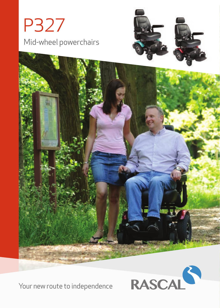





Your new route to independence